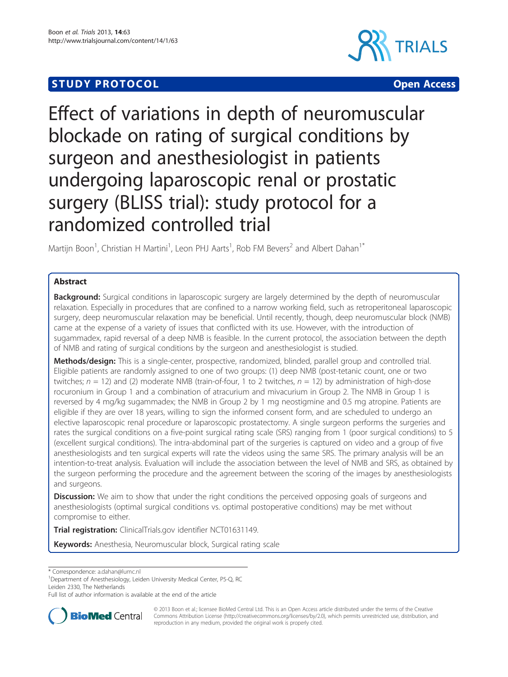# **STUDY PROTOCOL CONSUMING THE CONSUMING OPEN ACCESS**





# Effect of variations in depth of neuromuscular blockade on rating of surgical conditions by surgeon and anesthesiologist in patients undergoing laparoscopic renal or prostatic surgery (BLISS trial): study protocol for a randomized controlled trial

Martijn Boon<sup>1</sup>, Christian H Martini<sup>1</sup>, Leon PHJ Aarts<sup>1</sup>, Rob FM Bevers<sup>2</sup> and Albert Dahan<sup>1\*</sup>

# Abstract

Background: Surgical conditions in laparoscopic surgery are largely determined by the depth of neuromuscular relaxation. Especially in procedures that are confined to a narrow working field, such as retroperitoneal laparoscopic surgery, deep neuromuscular relaxation may be beneficial. Until recently, though, deep neuromuscular block (NMB) came at the expense of a variety of issues that conflicted with its use. However, with the introduction of sugammadex, rapid reversal of a deep NMB is feasible. In the current protocol, the association between the depth of NMB and rating of surgical conditions by the surgeon and anesthesiologist is studied.

Methods/design: This is a single-center, prospective, randomized, blinded, parallel group and controlled trial. Eligible patients are randomly assigned to one of two groups: (1) deep NMB (post-tetanic count, one or two twitches;  $n = 12$ ) and (2) moderate NMB (train-of-four, 1 to 2 twitches,  $n = 12$ ) by administration of high-dose rocuronium in Group 1 and a combination of atracurium and mivacurium in Group 2. The NMB in Group 1 is reversed by 4 mg/kg sugammadex; the NMB in Group 2 by 1 mg neostigmine and 0.5 mg atropine. Patients are eligible if they are over 18 years, willing to sign the informed consent form, and are scheduled to undergo an elective laparoscopic renal procedure or laparoscopic prostatectomy. A single surgeon performs the surgeries and rates the surgical conditions on a five-point surgical rating scale (SRS) ranging from 1 (poor surgical conditions) to 5 (excellent surgical conditions). The intra-abdominal part of the surgeries is captured on video and a group of five anesthesiologists and ten surgical experts will rate the videos using the same SRS. The primary analysis will be an intention-to-treat analysis. Evaluation will include the association between the level of NMB and SRS, as obtained by the surgeon performing the procedure and the agreement between the scoring of the images by anesthesiologists and surgeons.

**Discussion:** We aim to show that under the right conditions the perceived opposing goals of surgeons and anesthesiologists (optimal surgical conditions vs. optimal postoperative conditions) may be met without compromise to either.

Trial registration: ClinicalTrials.gov identifier [NCT01631149](http:/www.clinicaltrials.gov/NCT01631149).

Keywords: Anesthesia, Neuromuscular block, Surgical rating scale

\* Correspondence: [a.dahan@lumc.nl](mailto:a.dahan@lumc.nl) <sup>1</sup>

<sup>1</sup>Department of Anesthesiology, Leiden University Medical Center, P5-Q, RC Leiden 2330, The Netherlands

Full list of author information is available at the end of the article



© 2013 Boon et al.; licensee BioMed Central Ltd. This is an Open Access article distributed under the terms of the Creative Commons Attribution License [\(http://creativecommons.org/licenses/by/2.0\)](http://creativecommons.org/licenses/by/2.0), which permits unrestricted use, distribution, and reproduction in any medium, provided the original work is properly cited.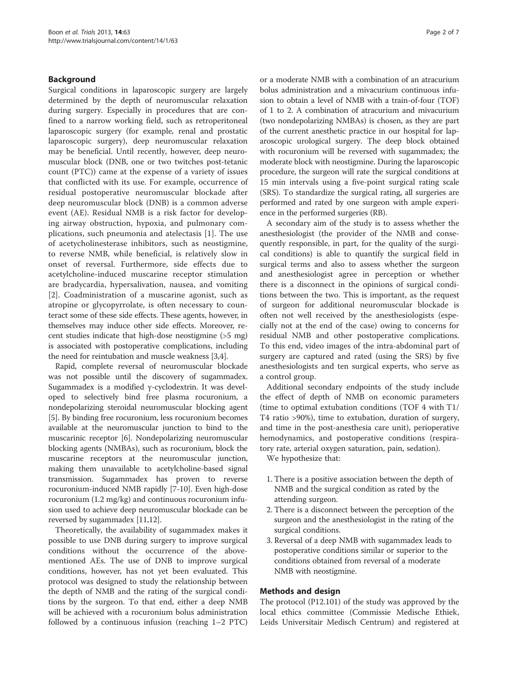# Background

Surgical conditions in laparoscopic surgery are largely determined by the depth of neuromuscular relaxation during surgery. Especially in procedures that are confined to a narrow working field, such as retroperitoneal laparoscopic surgery (for example, renal and prostatic laparoscopic surgery), deep neuromuscular relaxation may be beneficial. Until recently, however, deep neuromuscular block (DNB, one or two twitches post-tetanic count (PTC)) came at the expense of a variety of issues that conflicted with its use. For example, occurrence of residual postoperative neuromuscular blockade after deep neuromuscular block (DNB) is a common adverse event (AE). Residual NMB is a risk factor for developing airway obstruction, hypoxia, and pulmonary complications, such pneumonia and atelectasis [[1](#page-5-0)]. The use of acetycholinesterase inhibitors, such as neostigmine, to reverse NMB, while beneficial, is relatively slow in onset of reversal. Furthermore, side effects due to acetylcholine-induced muscarine receptor stimulation are bradycardia, hypersalivation, nausea, and vomiting [[2\]](#page-5-0). Coadministration of a muscarine agonist, such as atropine or glycopyrrolate, is often necessary to counteract some of these side effects. These agents, however, in themselves may induce other side effects. Moreover, recent studies indicate that high-dose neostigmine (>5 mg) is associated with postoperative complications, including the need for reintubation and muscle weakness [[3](#page-5-0),[4](#page-5-0)].

Rapid, complete reversal of neuromuscular blockade was not possible until the discovery of sugammadex. Sugammadex is a modified γ-cyclodextrin. It was developed to selectively bind free plasma rocuronium, a nondepolarizing steroidal neuromuscular blocking agent [[5\]](#page-5-0). By binding free rocuronium, less rocuronium becomes available at the neuromuscular junction to bind to the muscarinic receptor [\[6](#page-5-0)]. Nondepolarizing neuromuscular blocking agents (NMBAs), such as rocuronium, block the muscarine receptors at the neuromuscular junction, making them unavailable to acetylcholine-based signal transmission. Sugammadex has proven to reverse rocuronium-induced NMB rapidly [\[7](#page-5-0)-[10](#page-5-0)]. Even high-dose rocuronium (1.2 mg/kg) and continuous rocuronium infusion used to achieve deep neuromuscular blockade can be reversed by sugammadex [\[11,12](#page-5-0)].

Theoretically, the availability of sugammadex makes it possible to use DNB during surgery to improve surgical conditions without the occurrence of the abovementioned AEs. The use of DNB to improve surgical conditions, however, has not yet been evaluated. This protocol was designed to study the relationship between the depth of NMB and the rating of the surgical conditions by the surgeon. To that end, either a deep NMB will be achieved with a rocuronium bolus administration followed by a continuous infusion (reaching 1–2 PTC) or a moderate NMB with a combination of an atracurium bolus administration and a mivacurium continuous infusion to obtain a level of NMB with a train-of-four (TOF) of 1 to 2. A combination of atracurium and mivacurium (two nondepolarizing NMBAs) is chosen, as they are part of the current anesthetic practice in our hospital for laparoscopic urological surgery. The deep block obtained with rocuronium will be reversed with sugammadex; the moderate block with neostigmine. During the laparoscopic procedure, the surgeon will rate the surgical conditions at 15 min intervals using a five-point surgical rating scale (SRS). To standardize the surgical rating, all surgeries are performed and rated by one surgeon with ample experience in the performed surgeries (RB).

A secondary aim of the study is to assess whether the anesthesiologist (the provider of the NMB and consequently responsible, in part, for the quality of the surgical conditions) is able to quantify the surgical field in surgical terms and also to assess whether the surgeon and anesthesiologist agree in perception or whether there is a disconnect in the opinions of surgical conditions between the two. This is important, as the request of surgeon for additional neuromuscular blockade is often not well received by the anesthesiologists (especially not at the end of the case) owing to concerns for residual NMB and other postoperative complications. To this end, video images of the intra-abdominal part of surgery are captured and rated (using the SRS) by five anesthesiologists and ten surgical experts, who serve as a control group.

Additional secondary endpoints of the study include the effect of depth of NMB on economic parameters (time to optimal extubation conditions (TOF 4 with T1/ T4 ratio >90%), time to extubation, duration of surgery, and time in the post-anesthesia care unit), perioperative hemodynamics, and postoperative conditions (respiratory rate, arterial oxygen saturation, pain, sedation).

We hypothesize that:

- 1. There is a positive association between the depth of NMB and the surgical condition as rated by the attending surgeon.
- 2. There is a disconnect between the perception of the surgeon and the anesthesiologist in the rating of the surgical conditions.
- 3. Reversal of a deep NMB with sugammadex leads to postoperative conditions similar or superior to the conditions obtained from reversal of a moderate NMB with neostigmine.

# Methods and design

The protocol (P12.101) of the study was approved by the local ethics committee (Commissie Medische Ethiek, Leids Universitair Medisch Centrum) and registered at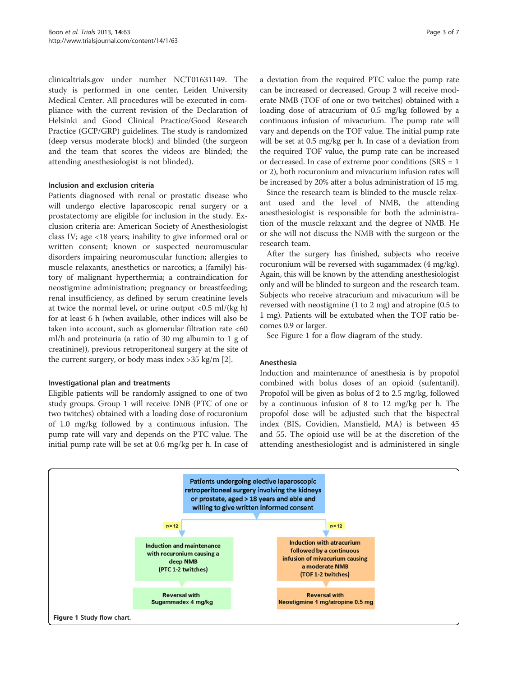clinicaltrials.gov under number NCT01631149. The study is performed in one center, Leiden University Medical Center. All procedures will be executed in compliance with the current revision of the Declaration of Helsinki and Good Clinical Practice/Good Research Practice (GCP/GRP) guidelines. The study is randomized (deep versus moderate block) and blinded (the surgeon and the team that scores the videos are blinded; the attending anesthesiologist is not blinded).

# Inclusion and exclusion criteria

Patients diagnosed with renal or prostatic disease who will undergo elective laparoscopic renal surgery or a prostatectomy are eligible for inclusion in the study. Exclusion criteria are: American Society of Anesthesiologist class IV; age <18 years; inability to give informed oral or written consent; known or suspected neuromuscular disorders impairing neuromuscular function; allergies to muscle relaxants, anesthetics or narcotics; a (family) history of malignant hyperthermia; a contraindication for neostigmine administration; pregnancy or breastfeeding; renal insufficiency, as defined by serum creatinine levels at twice the normal level, or urine output  $\langle 0.5 \text{ ml/(kg h)} \rangle$ for at least 6 h (when available, other indices will also be taken into account, such as glomerular filtration rate <60 ml/h and proteinuria (a ratio of 30 mg albumin to 1 g of creatinine)), previous retroperitoneal surgery at the site of the current surgery, or body mass index >35 kg/m [\[2\]](#page-5-0).

# Investigational plan and treatments

Eligible patients will be randomly assigned to one of two study groups. Group 1 will receive DNB (PTC of one or two twitches) obtained with a loading dose of rocuronium of 1.0 mg/kg followed by a continuous infusion. The pump rate will vary and depends on the PTC value. The initial pump rate will be set at 0.6 mg/kg per h. In case of

a deviation from the required PTC value the pump rate can be increased or decreased. Group 2 will receive moderate NMB (TOF of one or two twitches) obtained with a loading dose of atracurium of 0.5 mg/kg followed by a continuous infusion of mivacurium. The pump rate will vary and depends on the TOF value. The initial pump rate will be set at 0.5 mg/kg per h. In case of a deviation from the required TOF value, the pump rate can be increased or decreased. In case of extreme poor conditions (SRS = 1 or 2), both rocuronium and mivacurium infusion rates will be increased by 20% after a bolus administration of 15 mg.

Since the research team is blinded to the muscle relaxant used and the level of NMB, the attending anesthesiologist is responsible for both the administration of the muscle relaxant and the degree of NMB. He or she will not discuss the NMB with the surgeon or the research team.

After the surgery has finished, subjects who receive rocuronium will be reversed with sugammadex (4 mg/kg). Again, this will be known by the attending anesthesiologist only and will be blinded to surgeon and the research team. Subjects who receive atracurium and mivacurium will be reversed with neostigmine (1 to 2 mg) and atropine (0.5 to 1 mg). Patients will be extubated when the TOF ratio becomes 0.9 or larger.

See Figure 1 for a flow diagram of the study.

# Anesthesia

Induction and maintenance of anesthesia is by propofol combined with bolus doses of an opioid (sufentanil). Propofol will be given as bolus of 2 to 2.5 mg/kg, followed by a continuous infusion of 8 to 12 mg/kg per h. The propofol dose will be adjusted such that the bispectral index (BIS, Covidien, Mansfield, MA) is between 45 and 55. The opioid use will be at the discretion of the attending anesthesiologist and is administered in single

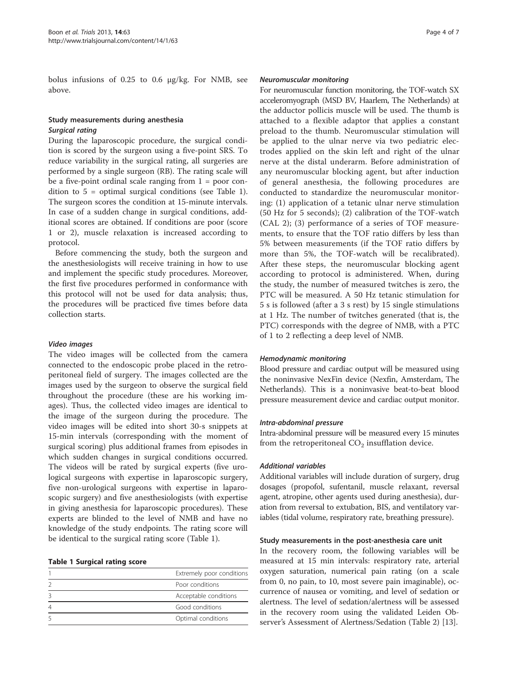bolus infusions of 0.25 to 0.6 μg/kg. For NMB, see above.

# Study measurements during anesthesia Surgical rating

During the laparoscopic procedure, the surgical condition is scored by the surgeon using a five-point SRS. To reduce variability in the surgical rating, all surgeries are performed by a single surgeon (RB). The rating scale will be a five-point ordinal scale ranging from  $1 =$  poor condition to 5 = optimal surgical conditions (see Table 1). The surgeon scores the condition at 15-minute intervals. In case of a sudden change in surgical conditions, additional scores are obtained. If conditions are poor (score 1 or 2), muscle relaxation is increased according to protocol.

Before commencing the study, both the surgeon and the anesthesiologists will receive training in how to use and implement the specific study procedures. Moreover, the first five procedures performed in conformance with this protocol will not be used for data analysis; thus, the procedures will be practiced five times before data collection starts.

# Video images

The video images will be collected from the camera connected to the endoscopic probe placed in the retroperitoneal field of surgery. The images collected are the images used by the surgeon to observe the surgical field throughout the procedure (these are his working images). Thus, the collected video images are identical to the image of the surgeon during the procedure. The video images will be edited into short 30-s snippets at 15-min intervals (corresponding with the moment of surgical scoring) plus additional frames from episodes in which sudden changes in surgical conditions occurred. The videos will be rated by surgical experts (five urological surgeons with expertise in laparoscopic surgery, five non-urological surgeons with expertise in laparoscopic surgery) and five anesthesiologists (with expertise in giving anesthesia for laparoscopic procedures). These experts are blinded to the level of NMB and have no knowledge of the study endpoints. The rating score will be identical to the surgical rating score (Table 1).

# Table 1 Surgical rating score

| Extremely poor conditions |  |
|---------------------------|--|
| Poor conditions           |  |
| Acceptable conditions     |  |
| Good conditions           |  |
| Optimal conditions        |  |
|                           |  |

#### Neuromuscular monitoring

For neuromuscular function monitoring, the TOF-watch SX acceleromyograph (MSD BV, Haarlem, The Netherlands) at the adductor pollicis muscle will be used. The thumb is attached to a flexible adaptor that applies a constant preload to the thumb. Neuromuscular stimulation will be applied to the ulnar nerve via two pediatric electrodes applied on the skin left and right of the ulnar nerve at the distal underarm. Before administration of any neuromuscular blocking agent, but after induction of general anesthesia, the following procedures are conducted to standardize the neuromuscular monitoring: (1) application of a tetanic ulnar nerve stimulation (50 Hz for 5 seconds); (2) calibration of the TOF-watch (CAL 2); (3) performance of a series of TOF measurements, to ensure that the TOF ratio differs by less than 5% between measurements (if the TOF ratio differs by more than 5%, the TOF-watch will be recalibrated). After these steps, the neuromuscular blocking agent according to protocol is administered. When, during the study, the number of measured twitches is zero, the PTC will be measured. A 50 Hz tetanic stimulation for 5 s is followed (after a 3 s rest) by 15 single stimulations at 1 Hz. The number of twitches generated (that is, the PTC) corresponds with the degree of NMB, with a PTC of 1 to 2 reflecting a deep level of NMB.

#### Hemodynamic monitoring

Blood pressure and cardiac output will be measured using the noninvasive NexFin device (Nexfin, Amsterdam, The Netherlands). This is a noninvasive beat-to-beat blood pressure measurement device and cardiac output monitor.

#### Intra-abdominal pressure

Intra-abdominal pressure will be measured every 15 minutes from the retroperitoneal  $CO<sub>2</sub>$  insufflation device.

#### Additional variables

Additional variables will include duration of surgery, drug dosages (propofol, sufentanil, muscle relaxant, reversal agent, atropine, other agents used during anesthesia), duration from reversal to extubation, BIS, and ventilatory variables (tidal volume, respiratory rate, breathing pressure).

#### Study measurements in the post-anesthesia care unit

In the recovery room, the following variables will be measured at 15 min intervals: respiratory rate, arterial oxygen saturation, numerical pain rating (on a scale from 0, no pain, to 10, most severe pain imaginable), occurrence of nausea or vomiting, and level of sedation or alertness. The level of sedation/alertness will be assessed in the recovery room using the validated Leiden Observer's Assessment of Alertness/Sedation (Table [2\)](#page-4-0) [[13\]](#page-6-0).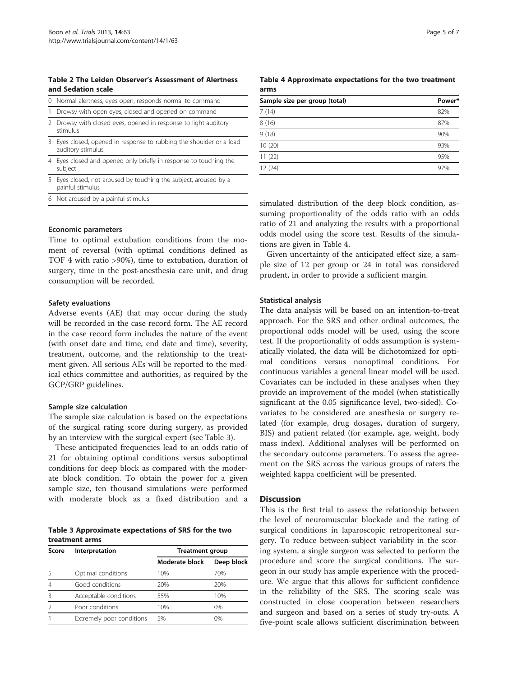<span id="page-4-0"></span>Table 2 The Leiden Observer's Assessment of Alertness and Sedation scale

| 0 Normal alertness, eyes open, responds normal to command                                |
|------------------------------------------------------------------------------------------|
| 1 Drowsy with open eyes, closed and opened on command                                    |
| 2 Drowsy with closed eyes, opened in response to light auditory<br>stimulus              |
| 3 Eyes closed, opened in response to rubbing the shoulder or a load<br>auditory stimulus |

- 4 Eyes closed and opened only briefly in response to touching the subject
- 5 Eyes closed, not aroused by touching the subject, aroused by a painful stimulus
- 6 Not aroused by a painful stimulus

#### Economic parameters

Time to optimal extubation conditions from the moment of reversal (with optimal conditions defined as TOF 4 with ratio >90%), time to extubation, duration of surgery, time in the post-anesthesia care unit, and drug consumption will be recorded.

#### Safety evaluations

Adverse events (AE) that may occur during the study will be recorded in the case record form. The AE record in the case record form includes the nature of the event (with onset date and time, end date and time), severity, treatment, outcome, and the relationship to the treatment given. All serious AEs will be reported to the medical ethics committee and authorities, as required by the GCP/GRP guidelines.

#### Sample size calculation

The sample size calculation is based on the expectations of the surgical rating score during surgery, as provided by an interview with the surgical expert (see Table 3).

These anticipated frequencies lead to an odds ratio of 21 for obtaining optimal conditions versus suboptimal conditions for deep block as compared with the moderate block condition. To obtain the power for a given sample size, ten thousand simulations were performed with moderate block as a fixed distribution and a

Table 3 Approximate expectations of SRS for the two treatment arms

| Score | Interpretation            | <b>Treatment group</b> |            |
|-------|---------------------------|------------------------|------------|
|       |                           | Moderate block         | Deep block |
|       | Optimal conditions        | 10%                    | 70%        |
| 4     | Good conditions           | 20%                    | 20%        |
|       | Acceptable conditions     | 55%                    | 10%        |
|       | Poor conditions           | 10%                    | $0\%$      |
|       | Extremely poor conditions | 5%                     | በ‰         |

Table 4 Approximate expectations for the two treatment arms

| Sample size per group (total) | Power* |
|-------------------------------|--------|
| 7(14)                         | 82%    |
| 8(16)                         | 87%    |
| 9(18)                         | 90%    |
| 10(20)                        | 93%    |
| 11(22)                        | 95%    |
| 12(24)                        | 97%    |

simulated distribution of the deep block condition, assuming proportionality of the odds ratio with an odds ratio of 21 and analyzing the results with a proportional odds model using the score test. Results of the simulations are given in Table 4.

Given uncertainty of the anticipated effect size, a sample size of 12 per group or 24 in total was considered prudent, in order to provide a sufficient margin.

#### Statistical analysis

The data analysis will be based on an intention-to-treat approach. For the SRS and other ordinal outcomes, the proportional odds model will be used, using the score test. If the proportionality of odds assumption is systematically violated, the data will be dichotomized for optimal conditions versus nonoptimal conditions. For continuous variables a general linear model will be used. Covariates can be included in these analyses when they provide an improvement of the model (when statistically significant at the 0.05 significance level, two-sided). Covariates to be considered are anesthesia or surgery related (for example, drug dosages, duration of surgery, BIS) and patient related (for example, age, weight, body mass index). Additional analyses will be performed on the secondary outcome parameters. To assess the agreement on the SRS across the various groups of raters the weighted kappa coefficient will be presented.

# **Discussion**

This is the first trial to assess the relationship between the level of neuromuscular blockade and the rating of surgical conditions in laparoscopic retroperitoneal surgery. To reduce between-subject variability in the scoring system, a single surgeon was selected to perform the procedure and score the surgical conditions. The surgeon in our study has ample experience with the procedure. We argue that this allows for sufficient confidence in the reliability of the SRS. The scoring scale was constructed in close cooperation between researchers and surgeon and based on a series of study try-outs. A five-point scale allows sufficient discrimination between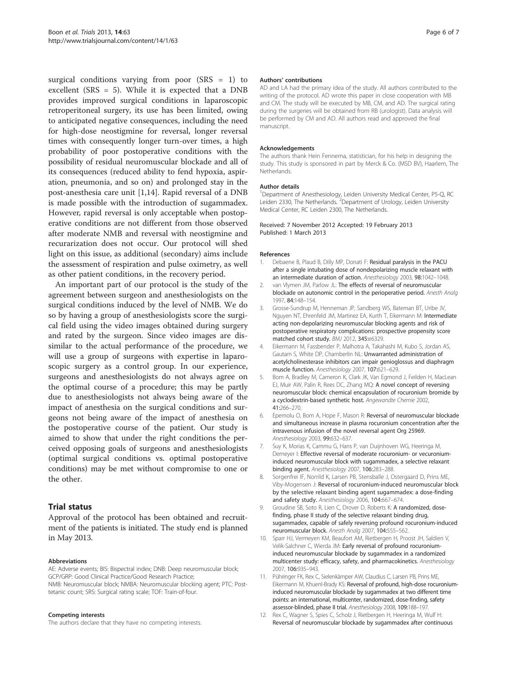<span id="page-5-0"></span>surgical conditions varying from poor  $(SRS = 1)$  to excellent (SRS = 5). While it is expected that a DNB provides improved surgical conditions in laparoscopic retroperitoneal surgery, its use has been limited, owing to anticipated negative consequences, including the need for high-dose neostigmine for reversal, longer reversal times with consequently longer turn-over times, a high probability of poor postoperative conditions with the possibility of residual neuromuscular blockade and all of its consequences (reduced ability to fend hypoxia, aspiration, pneumonia, and so on) and prolonged stay in the post-anesthesia care unit [1,[14\]](#page-6-0). Rapid reversal of a DNB is made possible with the introduction of sugammadex. However, rapid reversal is only acceptable when postoperative conditions are not different from those observed after moderate NMB and reversal with neostigmine and recurarization does not occur. Our protocol will shed light on this issue, as additional (secondary) aims include the assessment of respiration and pulse oximetry, as well as other patient conditions, in the recovery period.

An important part of our protocol is the study of the agreement between surgeon and anesthesiologists on the surgical conditions induced by the level of NMB. We do so by having a group of anesthesiologists score the surgical field using the video images obtained during surgery and rated by the surgeon. Since video images are dissimilar to the actual performance of the procedure, we will use a group of surgeons with expertise in laparoscopic surgery as a control group. In our experience, surgeons and anesthesiologists do not always agree on the optimal course of a procedure; this may be partly due to anesthesiologists not always being aware of the impact of anesthesia on the surgical conditions and surgeons not being aware of the impact of anesthesia on the postoperative course of the patient. Our study is aimed to show that under the right conditions the perceived opposing goals of surgeons and anesthesiologists (optimal surgical conditions vs. optimal postoperative conditions) may be met without compromise to one or the other.

# Trial status

Approval of the protocol has been obtained and recruitment of the patients is initiated. The study end is planned in May 2013.

#### Abbreviations

AE: Adverse events; BIS: Bispectral index; DNB: Deep neuromuscular block; GCP/GRP: Good Clinical Practice/Good Research Practice; NMB: Neuromuscular block; NMBA: Neuromuscular blocking agent; PTC: Posttetanic count; SRS: Surgical rating scale; TOF: Train-of-four.

#### Competing interests

The authors declare that they have no competing interests.

#### Authors' contributions

AD and LA had the primary idea of the study. All authors contributed to the writing of the protocol. AD wrote this paper in close cooperation with MB and CM. The study will be executed by MB, CM, and AD. The surgical rating during the surgeries will be obtained from RB (urologist). Data analysis will be performed by CM and AD. All authors read and approved the final manuscript.

#### Acknowledgements

The authors thank Hein Fennema, statistician, for his help in designing the study. This study is sponsored in part by Merck & Co. (MSD BV), Haarlem, The Netherlands.

#### Author details

<sup>1</sup>Department of Anesthesiology, Leiden University Medical Center, P5-Q, RC Leiden 2330, The Netherlands. <sup>2</sup> Department of Urology, Leiden University Medical Center, RC Leiden 2300, The Netherlands.

#### Received: 7 November 2012 Accepted: 19 February 2013 Published: 1 March 2013

#### References

- 1. Debaene B, Plaud B, Dilly MP, Donati F: Residual paralysis in the PACU after a single intubating dose of nondepolarizing muscle relaxant with an intermediate duration of action. Anesthesiology 2003, 98:1042–1048.
- 2. van Vlymen JM, Parlow JL: The effects of reversal of neuromuscular blockade on autonomic control in the perioperative period. Anesth Analg 1997, 84:148–154.
- 3. Grosse-Sundrup M, Henneman JP, Sandberg WS, Bateman BT, Uribe JV, Nguyen NT, Ehrenfeld JM, Martinez EA, Kurth T, Eikermann M: Intermediate acting non-depolarizing neuromuscular blocking agents and risk of postoperative respiratory complications: prospective propensity score matched cohort study. BMJ 2012, 345:e6329.
- 4. Eikermann M, Fassbender P, Malhotra A, Takahashi M, Kubo S, Jordan AS, Gautam S, White DP, Chamberlin NL: Unwarranted administration of acetylcholinesterase inhibitors can impair genioglossus and diaphragm muscle function. Anesthesiology 2007, 107:621–629.
- 5. Bom A, Bradley M, Cameron K, Clark JK, Van Egmond J, Feilden H, MacLean EJ, Muir AW, Palin R, Rees DC, Zhang MQ: A novel concept of reversing neuromuscular block: chemical encapsulation of rocuronium bromide by a cyclodextrin-based synthetic host. Angewandte Chemie 2002, 41:266–270.
- 6. Epemolu O, Bom A, Hope F, Mason R: Reversal of neuromuscular blockade and simultaneous increase in plasma rocuronium concentration after the intravenous infusion of the novel reversal agent Org 25969. Anesthesiology 2003, 99:632–637.
- 7. Suy K, Morias K, Cammu G, Hans P, van Duijnhoven WG, Heeringa M, Demeyer I: Effective reversal of moderate rocuronium- or vecuroniuminduced neuromuscular block with sugammadex, a selective relaxant binding agent. Anesthesiology 2007, 106:283–288.
- 8. Sorgenfrei IF, Norrild K, Larsen PB, Stensballe J, Ostergaard D, Prins ME, Viby-Mogensen J: Reversal of rocuronium-induced neuromuscular block by the selective relaxant binding agent sugammadex: a dose-finding and safety study. Anesthesiology 2006, 104:667–674.
- Groudine SB, Soto R, Lien C, Drover D, Roberts K: A randomized, dosefinding, phase II study of the selective relaxant binding drug, sugammadex, capable of safely reversing profound rocuronium-induced neuromuscular block. Anesth Analg 2007, 104:555–562.
- 10. Sparr HJ, Vermeyen KM, Beaufort AM, Rietbergen H, Proost JH, Saldien V, Velik-Salchner C, Wierda JM: Early reversal of profound rocuroniuminduced neuromuscular blockade by sugammadex in a randomized multicenter study: efficacy, safety, and pharmacokinetics. Anesthesiology 2007, 106:935–943.
- 11. Pühringer FK, Rex C, Sielenkämper AW, Claudius C, Larsen PB, Prins ME, Eikermann M, Khuenl-Brady KS: Reversal of profound, high-dose rocuroniuminduced neuromuscular blockade by sugammadex at two different time points: an international, multicenter, randomized, dose-finding, safety assessor-blinded, phase II trial. Anesthesiology 2008, 109:188–197.
- 12. Rex C, Wagner S, Spies C, Scholz J, Rietbergen H, Heeringa M, Wulf H: Reversal of neuromuscular blockade by sugammadex after continuous